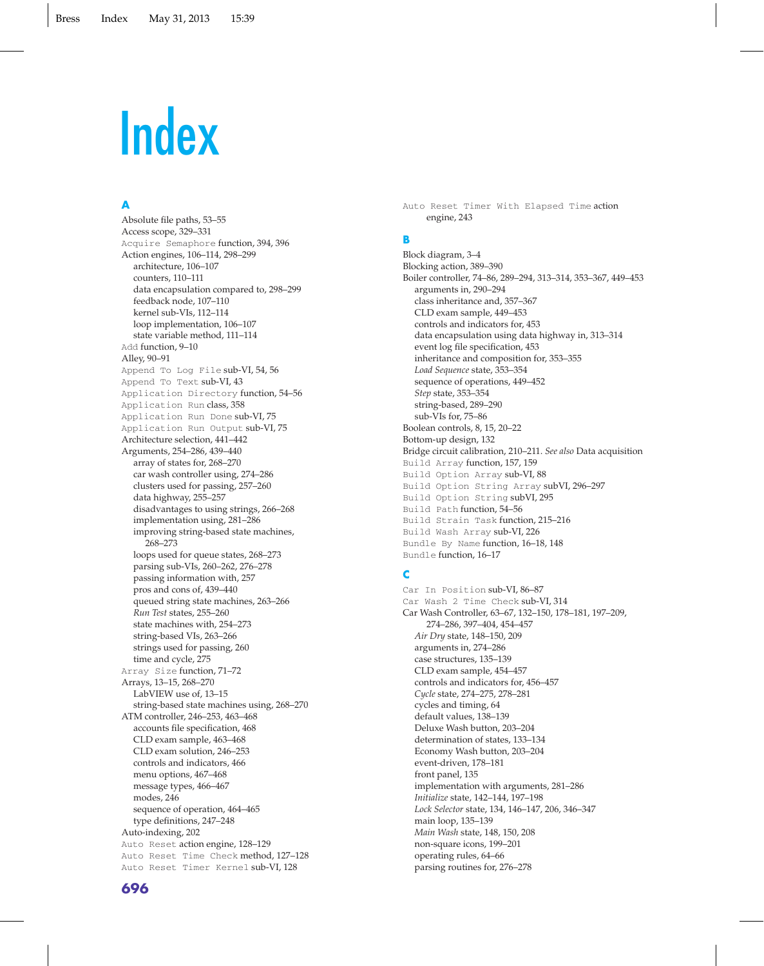#### **A**

Absolute file paths, 53–55 Access scope, 329–331 Acquire Semaphore function, 394, 396 Action engines, 106–114, 298–299 architecture, 106–107 counters, 110–111 data encapsulation compared to, 298–299 feedback node, 107–110 kernel sub-VIs, 112–114 loop implementation, 106–107 state variable method, 111–114 Add function, 9-10 Alley, 90–91 Append To Log File sub-VI, 54, 56 Append To Text sub-VI, 43 Application Directory function, 54–56 Application Run class, 358 Application Run Done sub-VI, 75 Application Run Output sub-VI, 75 Architecture selection, 441–442 Arguments, 254–286, 439–440 array of states for, 268–270 car wash controller using, 274–286 clusters used for passing, 257–260 data highway, 255–257 disadvantages to using strings, 266–268 implementation using, 281–286 improving string-based state machines, 268–273 loops used for queue states, 268–273 parsing sub-VIs, 260–262, 276–278 passing information with, 257 pros and cons of, 439–440 queued string state machines, 263–266 *Run Test* states, 255–260 state machines with, 254–273 string-based VIs, 263–266 strings used for passing, 260 time and cycle, 275 Array Size function, 71–72 Arrays, 13–15, 268–270 LabVIEW use of, 13–15 string-based state machines using, 268–270 ATM controller, 246–253, 463–468 accounts file specification, 468 CLD exam sample, 463–468 CLD exam solution, 246–253 controls and indicators, 466 menu options, 467–468 message types, 466–467 modes, 246 sequence of operation, 464–465 type definitions, 247–248 Auto-indexing, 202 Auto Reset action engine, 128–129 Auto Reset Time Check method, 127–128 Auto Reset Timer Kernel sub-VI, 128

Auto Reset Timer With Elapsed Time action engine, 243

# **B**

Block diagram, 3–4 Blocking action, 389–390 Boiler controller, 74–86, 289–294, 313–314, 353–367, 449–453 arguments in, 290–294 class inheritance and, 357–367 CLD exam sample, 449–453 controls and indicators for, 453 data encapsulation using data highway in, 313–314 event log file specification, 453 inheritance and composition for, 353–355 *Load Sequence* state, 353–354 sequence of operations, 449–452 *Step* state, 353–354 string-based, 289–290 sub-VIs for, 75–86 Boolean controls, 8, 15, 20–22 Bottom-up design, 132 Bridge circuit calibration, 210–211. *See also* Data acquisition Build Array function, 157, 159 Build Option Array sub-VI, 88 Build Option String Array subVI, 296–297 Build Option String subVI, 295 Build Path function, 54–56 Build Strain Task function, 215–216 Build Wash Array sub-VI, 226 Bundle By Name function, 16–18, 148 Bundle function, 16–17

#### **C**

Car In Position sub-VI, 86–87 Car Wash 2 Time Check sub-VI, 314 Car Wash Controller, 63–67, 132–150, 178–181, 197–209, 274–286, 397–404, 454–457 *Air Dry* state, 148–150, 209 arguments in, 274–286 case structures, 135–139 CLD exam sample, 454–457 controls and indicators for, 456–457 *Cycle* state, 274–275, 278–281 cycles and timing, 64 default values, 138–139 Deluxe Wash button, 203–204 determination of states, 133–134 Economy Wash button, 203–204 event-driven, 178–181 front panel, 135 implementation with arguments, 281–286 *Initialize* state, 142–144, 197–198 *Lock Selector* state, 134, 146–147, 206, 346–347 main loop, 135–139 *Main Wash* state, 148, 150, 208 non-square icons, 199–201 operating rules, 64–66 parsing routines for, 276–278

#### **696**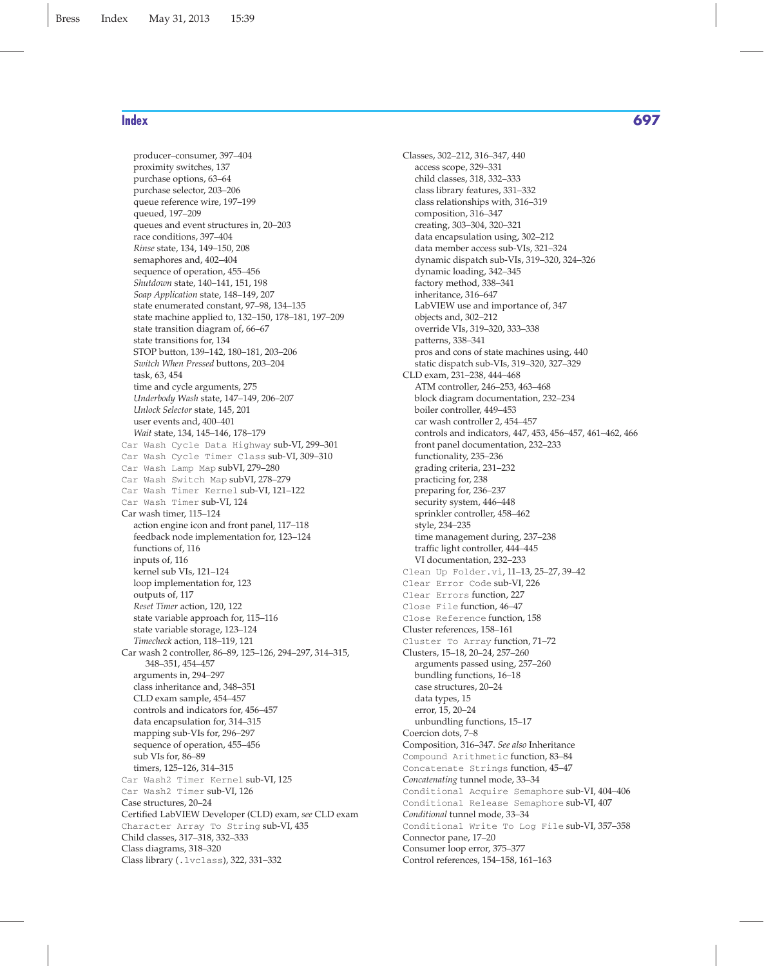producer–consumer, 397–404 proximity switches, 137 purchase options, 63–64 purchase selector, 203–206 queue reference wire, 197–199 queued, 197–209 queues and event structures in, 20–203 race conditions, 397–404 *Rinse* state, 134, 149–150, 208 semaphores and, 402–404 sequence of operation, 455–456 *Shutdown* state, 140–141, 151, 198 *Soap Application* state, 148–149, 207 state enumerated constant, 97–98, 134–135 state machine applied to, 132–150, 178–181, 197–209 state transition diagram of, 66–67 state transitions for, 134 STOP button, 139–142, 180–181, 203–206 *Switch When Pressed* buttons, 203–204 task, 63, 454 time and cycle arguments, 275 *Underbody Wash* state, 147–149, 206–207 *Unlock Selector* state, 145, 201 user events and, 400–401 *Wait* state, 134, 145–146, 178–179 Car Wash Cycle Data Highway sub-VI, 299–301 Car Wash Cycle Timer Class sub-VI, 309–310 Car Wash Lamp Map subVI, 279–280 Car Wash Switch Map subVI, 278–279 Car Wash Timer Kernel sub-VI, 121–122 Car Wash Timer sub-VI, 124 Car wash timer, 115–124 action engine icon and front panel, 117–118 feedback node implementation for, 123–124 functions of, 116 inputs of, 116 kernel sub VIs, 121–124 loop implementation for, 123 outputs of, 117 *Reset Timer* action, 120, 122 state variable approach for, 115–116 state variable storage, 123–124 *Timecheck* action, 118–119, 121 Car wash 2 controller, 86–89, 125–126, 294–297, 314–315, 348–351, 454–457 arguments in, 294–297 class inheritance and, 348–351 CLD exam sample, 454–457 controls and indicators for, 456–457 data encapsulation for, 314–315 mapping sub-VIs for, 296–297 sequence of operation, 455–456 sub VIs for, 86–89 timers, 125–126, 314–315 Car Wash2 Timer Kernel sub-VI, 125 Car Wash2 Timer sub-VI, 126 Case structures, 20–24 Certified LabVIEW Developer (CLD) exam, *see* CLD exam Character Array To String sub-VI, 435 Child classes, 317–318, 332–333 Class diagrams, 318–320 Class library (.lvclass), 322, 331–332

Classes, 302–212, 316–347, 440 access scope, 329–331 child classes, 318, 332–333 class library features, 331–332 class relationships with, 316–319 composition, 316–347 creating, 303–304, 320–321 data encapsulation using, 302–212 data member access sub-VIs, 321–324 dynamic dispatch sub-VIs, 319–320, 324–326 dynamic loading, 342–345 factory method, 338–341 inheritance, 316–647 LabVIEW use and importance of, 347 objects and, 302–212 override VIs, 319–320, 333–338 patterns, 338–341 pros and cons of state machines using, 440 static dispatch sub-VIs, 319–320, 327–329 CLD exam, 231–238, 444–468 ATM controller, 246–253, 463–468 block diagram documentation, 232–234 boiler controller, 449–453 car wash controller 2, 454–457 controls and indicators, 447, 453, 456–457, 461–462, 466 front panel documentation, 232–233 functionality, 235–236 grading criteria, 231–232 practicing for, 238 preparing for, 236–237 security system, 446–448 sprinkler controller, 458–462 style, 234–235 time management during, 237–238 traffic light controller, 444–445 VI documentation, 232–233 Clean Up Folder.vi, 11–13, 25–27, 39–42 Clear Error Code sub-VI, 226 Clear Errors function, 227 Close File function, 46–47 Close Reference function, 158 Cluster references, 158–161 Cluster To Array function, 71–72 Clusters, 15–18, 20–24, 257–260 arguments passed using, 257–260 bundling functions, 16–18 case structures, 20–24 data types, 15 error, 15, 20–24 unbundling functions, 15–17 Coercion dots, 7–8 Composition, 316–347. *See also* Inheritance Compound Arithmetic function, 83–84 Concatenate Strings function, 45–47 *Concatenating* tunnel mode, 33–34 Conditional Acquire Semaphore sub-VI, 404–406 Conditional Release Semaphore sub-VI, 407 *Conditional* tunnel mode, 33–34 Conditional Write To Log File sub-VI, 357–358 Connector pane, 17–20 Consumer loop error, 375–377 Control references, 154–158, 161–163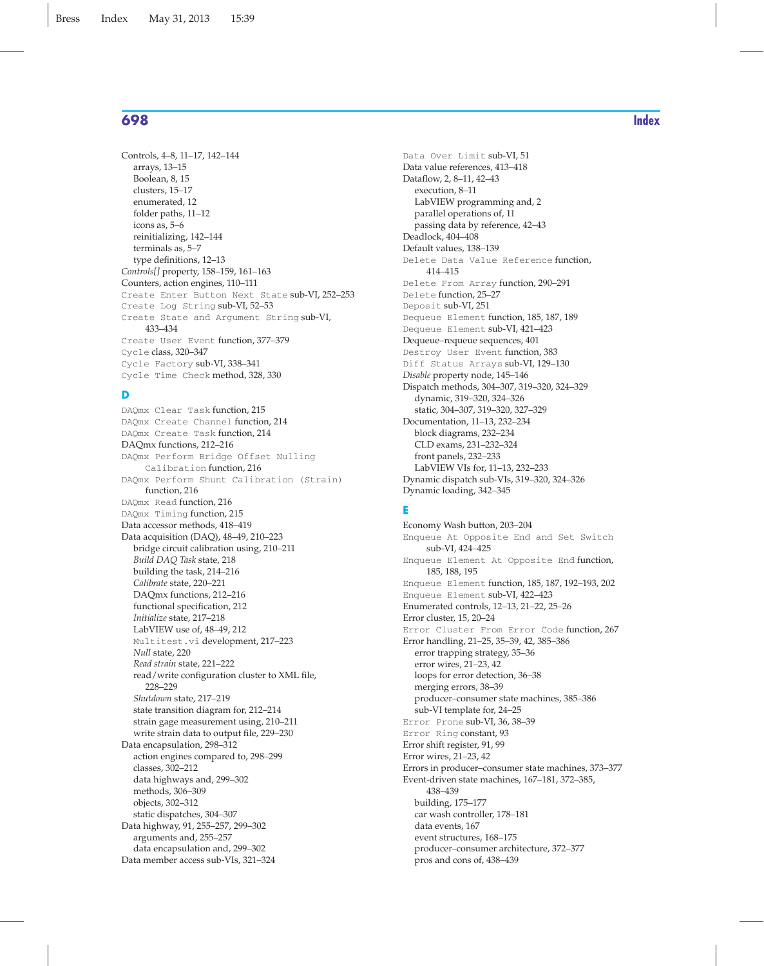Controls, 4–8, 11–17, 142–144 arrays, 13–15 Boolean, 8, 15 clusters, 15–17 enumerated, 12 folder paths, 11–12 icons as, 5–6 reinitializing, 142–144 terminals as, 5–7 type definitions, 12–13 *Controls[]* property, 158–159, 161–163 Counters, action engines, 110–111 Create Enter Button Next State sub-VI, 252–253 Create Log String sub-VI, 52–53 Create State and Argument String sub-VI, 433–434 Create User Event function, 377–379 Cycle class, 320–347 Cycle Factory sub-VI, 338–341 Cycle Time Check method, 328, 330

#### **D**

DAQmx Clear Task function, 215 DAQmx Create Channel function, 214 DAQmx Create Task function, 214 DAQmx functions, 212–216 DAQmx Perform Bridge Offset Nulling Calibration function, 216 DAQmx Perform Shunt Calibration (Strain) function, 216 DAQmx Read function, 216 DAQmx Timing function, 215 Data accessor methods, 418–419 Data acquisition (DAQ), 48–49, 210–223 bridge circuit calibration using, 210–211 *Build DAQ Task* state, 218 building the task, 214–216 *Calibrate* state, 220–221 DAQmx functions, 212–216 functional specification, 212 *Initialize* state, 217–218 LabVIEW use of, 48–49, 212 Multitest.vi development, 217–223 *Null* state, 220 *Read strain* state, 221–222 read/write configuration cluster to XML file, 228–229 *Shutdown* state, 217–219 state transition diagram for, 212–214 strain gage measurement using, 210–211 write strain data to output file, 229–230 Data encapsulation, 298–312 action engines compared to, 298–299 classes, 302–212 data highways and, 299–302 methods, 306–309 objects, 302–312 static dispatches, 304–307 Data highway, 91, 255–257, 299–302 arguments and, 255–257 data encapsulation and, 299–302 Data member access sub-VIs, 321–324

Data Over Limit sub-VI, 51 Data value references, 413–418 Dataflow, 2, 8–11, 42–43 execution, 8–11 LabVIEW programming and, 2 parallel operations of, 11 passing data by reference, 42–43 Deadlock, 404–408 Default values, 138–139 Delete Data Value Reference function, 414–415 Delete From Array function, 290–291 Delete function, 25–27 Deposit sub-VI, 251 Dequeue Element function, 185, 187, 189 Dequeue Element sub-VI, 421–423 Dequeue–requeue sequences, 401 Destroy User Event function, 383 Diff Status Arrays sub-VI, 129–130 *Disable* property node, 145–146 Dispatch methods, 304–307, 319–320, 324–329 dynamic, 319–320, 324–326 static, 304–307, 319–320, 327–329 Documentation, 11–13, 232–234 block diagrams, 232–234 CLD exams, 231–232–324 front panels, 232–233 LabVIEW VIs for, 11–13, 232–233 Dynamic dispatch sub-VIs, 319–320, 324–326 Dynamic loading, 342–345

#### **E**

Economy Wash button, 203–204 Enqueue At Opposite End and Set Switch sub-VI, 424–425 Enqueue Element At Opposite End function, 185, 188, 195 Enqueue Element function, 185, 187, 192–193, 202 Enqueue Element sub-VI, 422–423 Enumerated controls, 12–13, 21–22, 25–26 Error cluster, 15, 20–24 Error Cluster From Error Code function, 267 Error handling, 21–25, 35–39, 42, 385–386 error trapping strategy, 35–36 error wires, 21–23, 42 loops for error detection, 36–38 merging errors, 38–39 producer–consumer state machines, 385–386 sub-VI template for, 24–25 Error Prone sub-VI, 36, 38–39 Error Ring constant, 93 Error shift register, 91, 99 Error wires, 21–23, 42 Errors in producer–consumer state machines, 373–377 Event-driven state machines, 167–181, 372–385, 438–439 building, 175–177 car wash controller, 178–181 data events, 167 event structures, 168–175 producer–consumer architecture, 372–377

pros and cons of, 438–439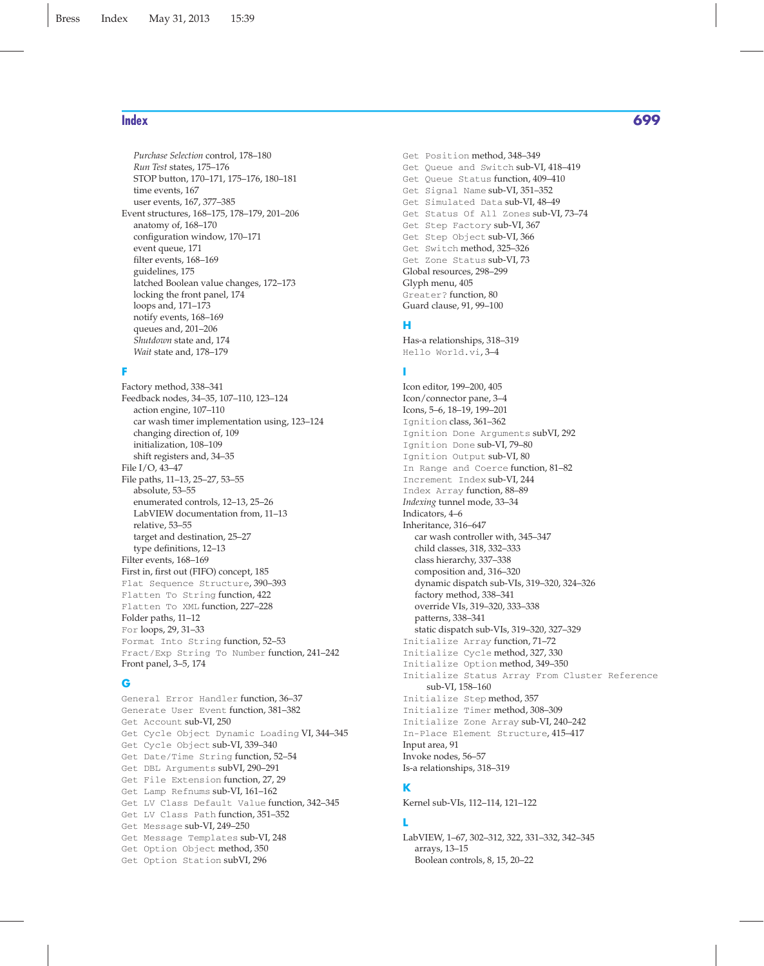*Purchase Selection* control, 178–180 *Run Test* states, 175–176 STOP button, 170–171, 175–176, 180–181 time events, 167 user events, 167, 377–385 Event structures, 168–175, 178–179, 201–206 anatomy of, 168–170 configuration window, 170–171 event queue, 171 filter events, 168–169 guidelines, 175 latched Boolean value changes, 172–173 locking the front panel, 174 loops and, 171–173 notify events, 168–169 queues and, 201–206 *Shutdown* state and, 174 *Wait* state and, 178–179

## **F**

Factory method, 338–341 Feedback nodes, 34–35, 107–110, 123–124 action engine, 107–110 car wash timer implementation using, 123–124 changing direction of, 109 initialization, 108–109 shift registers and, 34–35 File I/O, 43–47 File paths, 11–13, 25–27, 53–55 absolute, 53–55 enumerated controls, 12–13, 25–26 LabVIEW documentation from, 11–13 relative, 53–55 target and destination, 25–27 type definitions, 12–13 Filter events, 168–169 First in, first out (FIFO) concept, 185 Flat Sequence Structure, 390–393 Flatten To String function, 422 Flatten To XML function, 227–228 Folder paths, 11–12 For loops, 29, 31–33 Format Into String function, 52–53 Fract/Exp String To Number function, 241–242 Front panel, 3–5, 174

#### **G**

General Error Handler function, 36–37 Generate User Event function, 381–382 Get Account sub-VI, 250 Get Cycle Object Dynamic Loading VI, 344–345 Get Cycle Object sub-VI, 339–340 Get Date/Time String function, 52–54 Get DBL Arguments subVI, 290–291 Get File Extension function, 27, 29 Get Lamp Refnums sub-VI, 161–162 Get LV Class Default Value function, 342–345 Get LV Class Path function, 351–352 Get Message sub-VI, 249–250 Get Message Templates sub-VI, 248 Get Option Object method, 350 Get Option Station subVI, 296

Get Position method, 348–349 Get Queue and Switch sub-VI, 418–419 Get Queue Status function, 409–410 Get Signal Name sub-VI, 351–352 Get Simulated Data sub-VI, 48–49 Get Status Of All Zones sub-VI, 73–74 Get Step Factory sub-VI, 367 Get Step Object sub-VI, 366 Get Switch method, 325–326 Get Zone Status sub-VI, 73 Global resources, 298–299 Glyph menu, 405 Greater? function, 80 Guard clause, 91, 99–100

## **H**

Has-a relationships, 318–319 Hello World.vi, 3–4

#### **I**

Icon editor, 199–200, 405 Icon/connector pane, 3–4 Icons, 5–6, 18–19, 199–201 Ignition class, 361–362 Ignition Done Arguments subVI, 292 Ignition Done sub-VI, 79–80 Ignition Output sub-VI, 80 In Range and Coerce function, 81–82 Increment Index sub-VI, 244 Index Array function, 88–89 *Indexing* tunnel mode, 33–34 Indicators, 4–6 Inheritance, 316–647 car wash controller with, 345–347 child classes, 318, 332–333 class hierarchy, 337–338 composition and, 316–320 dynamic dispatch sub-VIs, 319–320, 324–326 factory method, 338–341 override VIs, 319–320, 333–338 patterns, 338–341 static dispatch sub-VIs, 319–320, 327–329 Initialize Array function, 71–72 Initialize Cycle method, 327, 330 Initialize Option method, 349–350 Initialize Status Array From Cluster Reference sub-VI, 158–160 Initialize Step method, 357 Initialize Timer method, 308–309 Initialize Zone Array sub-VI, 240–242 In-Place Element Structure, 415–417 Input area, 91 Invoke nodes, 56–57 Is-a relationships, 318–319

## **K**

Kernel sub-VIs, 112–114, 121–122

#### **L**

LabVIEW, 1–67, 302–312, 322, 331–332, 342–345 arrays, 13–15 Boolean controls, 8, 15, 20–22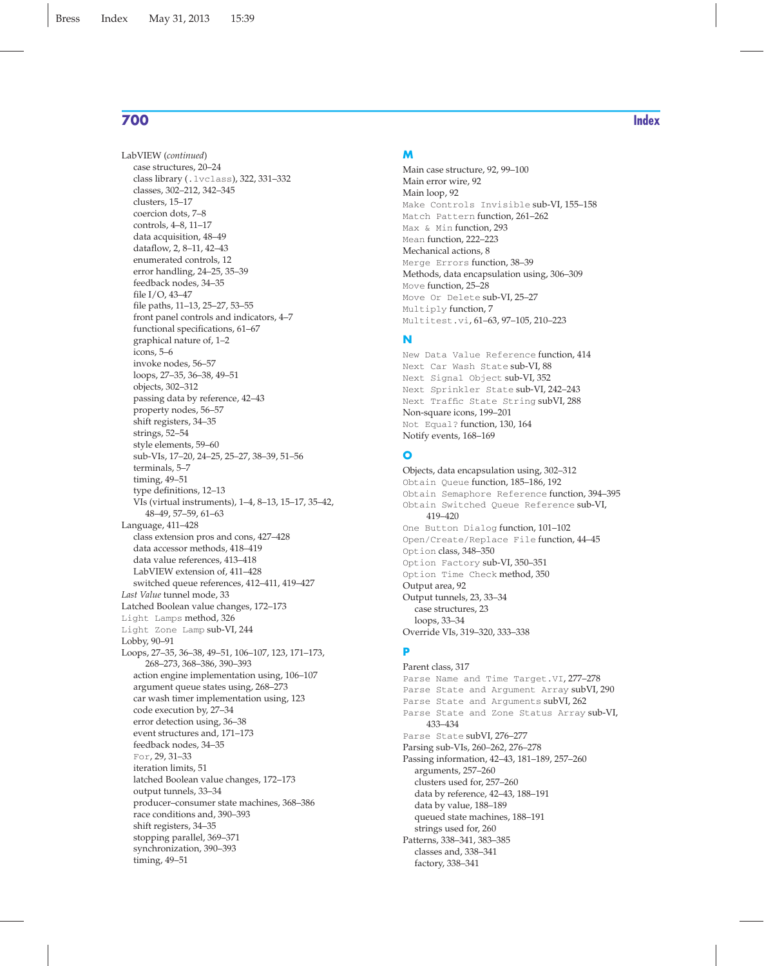LabVIEW (*continued*) case structures, 20–24 class library (.lvclass), 322, 331–332 classes, 302–212, 342–345 clusters, 15–17 coercion dots, 7–8 controls, 4–8, 11–17 data acquisition, 48–49 dataflow, 2, 8–11, 42–43 enumerated controls, 12 error handling, 24–25, 35–39 feedback nodes, 34–35 file I/O, 43–47 file paths, 11–13, 25–27, 53–55 front panel controls and indicators, 4–7 functional specifications, 61–67 graphical nature of, 1–2 icons, 5–6 invoke nodes, 56–57 loops, 27–35, 36–38, 49–51 objects, 302–312 passing data by reference, 42–43 property nodes, 56–57 shift registers, 34–35 strings, 52–54 style elements, 59–60 sub-VIs, 17–20, 24–25, 25–27, 38–39, 51–56 terminals, 5–7 timing, 49–51 type definitions, 12–13 VIs (virtual instruments), 1–4, 8–13, 15–17, 35–42, 48–49, 57–59, 61–63 Language, 411–428 class extension pros and cons, 427–428 data accessor methods, 418–419 data value references, 413–418 LabVIEW extension of, 411–428 switched queue references, 412–411, 419–427 *Last Value* tunnel mode, 33 Latched Boolean value changes, 172–173 Light Lamps method, 326 Light Zone Lamp sub-VI, 244 Lobby, 90–91 Loops, 27–35, 36–38, 49–51, 106–107, 123, 171–173, 268–273, 368–386, 390–393 action engine implementation using, 106–107 argument queue states using, 268–273 car wash timer implementation using, 123 code execution by, 27–34 error detection using, 36–38 event structures and, 171–173 feedback nodes, 34–35 For, 29, 31–33 iteration limits, 51 latched Boolean value changes, 172–173 output tunnels, 33–34 producer–consumer state machines, 368–386 race conditions and, 390–393 shift registers, 34–35 stopping parallel, 369–371 synchronization, 390–393 timing, 49–51

#### **M**

Main case structure, 92, 99–100 Main error wire, 92 Main loop, 92 Make Controls Invisible sub-VI, 155–158 Match Pattern function, 261–262 Max & Min function, 293 Mean function, 222–223 Mechanical actions, 8 Merge Errors function, 38–39 Methods, data encapsulation using, 306–309 Move function, 25–28 Move Or Delete sub-VI, 25–27 Multiply function, 7 Multitest.vi, 61–63, 97–105, 210–223

#### **N**

New Data Value Reference function, 414 Next Car Wash State sub-VI, 88 Next Signal Object sub-VI, 352 Next Sprinkler State sub-VI, 242–243 Next Traffic State String subVI, 288 Non-square icons, 199–201 Not Equal? function, 130, 164 Notify events, 168–169

#### **O**

Objects, data encapsulation using, 302–312 Obtain Queue function, 185–186, 192 Obtain Semaphore Reference function, 394–395 Obtain Switched Queue Reference sub-VI, 419–420 One Button Dialog function, 101–102 Open/Create/Replace File function, 44–45 Option class, 348–350 Option Factory sub-VI, 350–351 Option Time Check method, 350 Output area, 92 Output tunnels, 23, 33–34 case structures, 23 loops, 33–34 Override VIs, 319–320, 333–338

#### **P**

Parent class, 317 Parse Name and Time Target.VI, 277-278 Parse State and Argument Array subVI, 290 Parse State and Arguments subVI, 262 Parse State and Zone Status Array sub-VI, 433–434 Parse State subVI, 276–277 Parsing sub-VIs, 260–262, 276–278 Passing information, 42–43, 181–189, 257–260 arguments, 257–260 clusters used for, 257–260 data by reference, 42–43, 188–191 data by value, 188–189 queued state machines, 188–191 strings used for, 260 Patterns, 338–341, 383–385 classes and, 338–341 factory, 338–341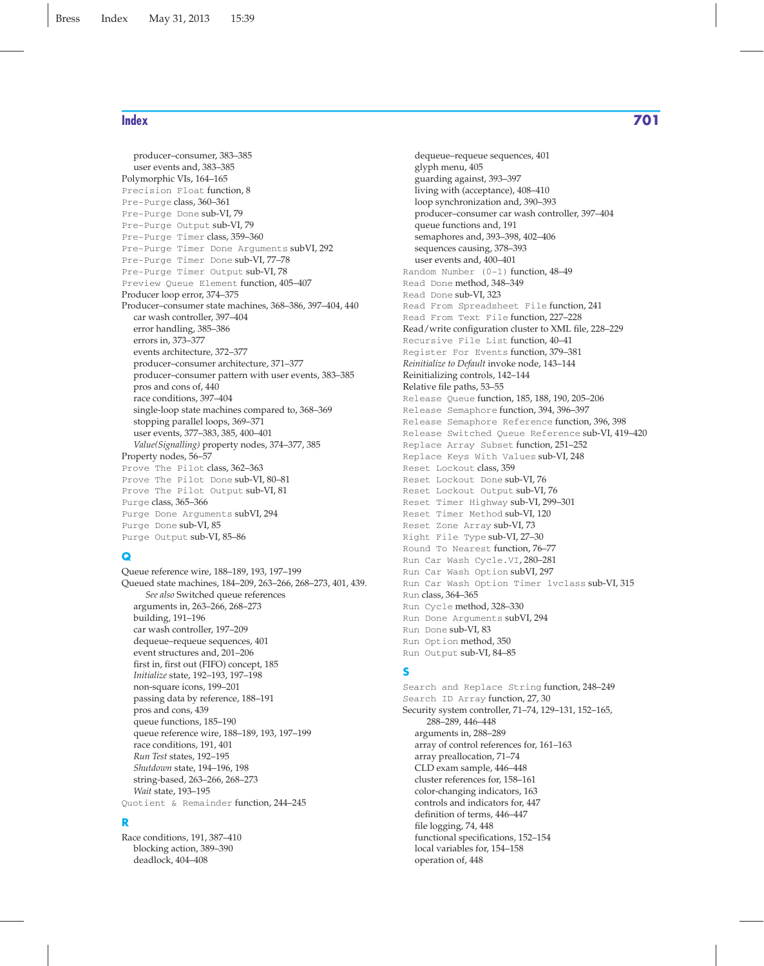producer–consumer, 383–385 user events and, 383–385 Polymorphic VIs, 164–165 Precision Float function, 8 Pre-Purge class, 360–361 Pre-Purge Done sub-VI, 79 Pre-Purge Output sub-VI, 79 Pre-Purge Timer class, 359–360 Pre-Purge Timer Done Arguments subVI, 292 Pre-Purge Timer Done sub-VI, 77–78 Pre-Purge Timer Output sub-VI, 78 Preview Queue Element function, 405–407 Producer loop error, 374–375 Producer–consumer state machines, 368–386, 397–404, 440 car wash controller, 397–404 error handling, 385–386 errors in, 373–377 events architecture, 372–377 producer–consumer architecture, 371–377 producer–consumer pattern with user events, 383–385 pros and cons of, 440 race conditions, 397–404 single-loop state machines compared to, 368–369 stopping parallel loops, 369–371 user events, 377–383, 385, 400–401 *Value(Signalling)* property nodes, 374–377, 385 Property nodes, 56–57 Prove The Pilot class, 362-363 Prove The Pilot Done sub-VI, 80–81 Prove The Pilot Output sub-VI, 81 Purge class, 365–366 Purge Done Arguments subVI, 294 Purge Done sub-VI, 85 Purge Output sub-VI, 85–86

#### **Q**

Queue reference wire, 188–189, 193, 197–199 Queued state machines, 184–209, 263–266, 268–273, 401, 439. *See also* Switched queue references arguments in, 263–266, 268–273 building, 191–196 car wash controller, 197–209 dequeue–requeue sequences, 401 event structures and, 201–206 first in, first out (FIFO) concept, 185 *Initialize* state, 192–193, 197–198 non-square icons, 199–201 passing data by reference, 188–191 pros and cons, 439 queue functions, 185–190 queue reference wire, 188–189, 193, 197–199 race conditions, 191, 401 *Run Test* states, 192–195 *Shutdown* state, 194–196, 198 string-based, 263–266, 268–273 *Wait* state, 193–195 Quotient & Remainder function, 244–245

#### **R**

Race conditions, 191, 387–410 blocking action, 389–390 deadlock, 404–408

dequeue–requeue sequences, 401 glyph menu, 405 guarding against, 393–397 living with (acceptance), 408–410 loop synchronization and, 390–393 producer–consumer car wash controller, 397–404 queue functions and, 191 semaphores and, 393–398, 402–406 sequences causing, 378–393 user events and, 400–401 Random Number (0–1) function, 48–49 Read Done method, 348–349 Read Done sub-VI, 323 Read From Spreadsheet File function, 241 Read From Text File function, 227–228 Read/write configuration cluster to XML file, 228–229 Recursive File List function, 40–41 Register For Events function, 379–381 *Reinitialize to Default* invoke node, 143–144 Reinitializing controls, 142–144 Relative file paths, 53–55 Release Queue function, 185, 188, 190, 205–206 Release Semaphore function, 394, 396–397 Release Semaphore Reference function, 396, 398 Release Switched Queue Reference sub-VI, 419–420 Replace Array Subset function, 251–252 Replace Keys With Values sub-VI, 248 Reset Lockout class, 359 Reset Lockout Done sub-VI, 76 Reset Lockout Output sub-VI, 76 Reset Timer Highway sub-VI, 299–301 Reset Timer Method sub-VI, 120 Reset Zone Array sub-VI, 73 Right File Type sub-VI, 27–30 Round To Nearest function, 76–77 Run Car Wash Cycle.VI, 280–281 Run Car Wash Option subVI, 297 Run Car Wash Option Timer lvclass sub-VI, 315 Run class, 364–365 Run Cycle method, 328–330 Run Done Arguments subVI, 294 Run Done sub-VI, 83 Run Option method, 350

#### **S**

Run Output sub-VI, 84–85

Search and Replace String function, 248–249 Search ID Array function, 27, 30 Security system controller, 71–74, 129–131, 152–165, 288–289, 446–448 arguments in, 288–289 array of control references for, 161–163 array preallocation, 71–74 CLD exam sample, 446–448 cluster references for, 158–161 color-changing indicators, 163 controls and indicators for, 447 definition of terms, 446–447 file logging, 74, 448 functional specifications, 152–154 local variables for, 154–158 operation of, 448

## **Index 701**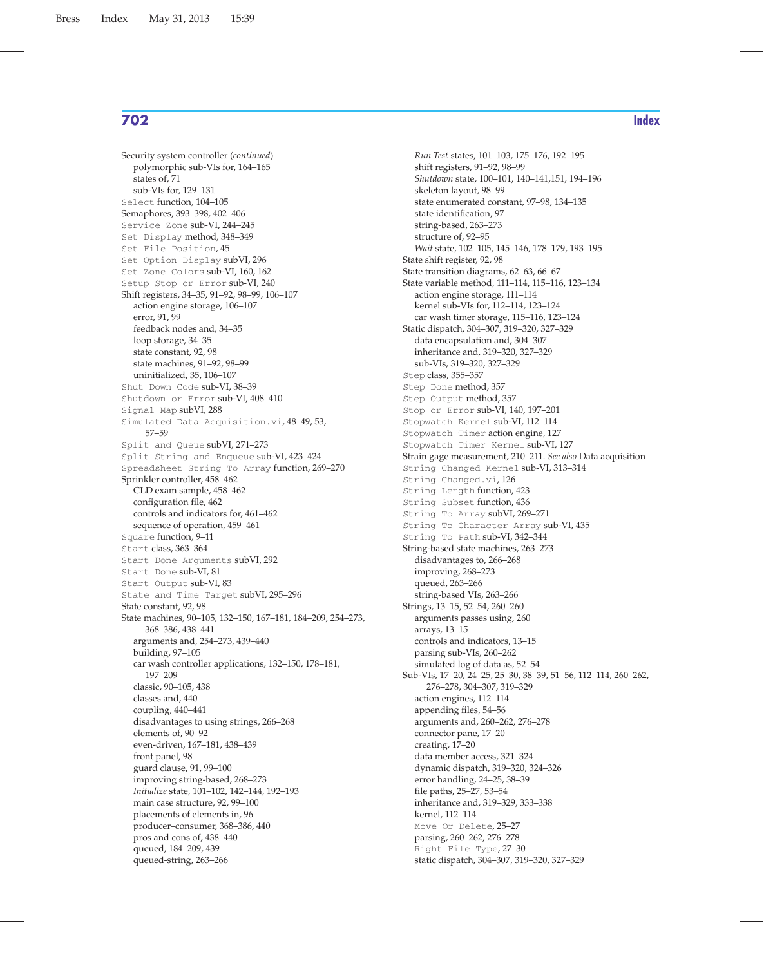Security system controller (*continued*) polymorphic sub-VIs for, 164–165 states of, 71 sub-VIs for, 129–131 Select function, 104–105 Semaphores, 393–398, 402–406 Service Zone sub-VI, 244–245 Set Display method, 348–349 Set File Position, 45 Set Option Display subVI, 296 Set Zone Colors sub-VI, 160, 162 Setup Stop or Error sub-VI, 240 Shift registers, 34–35, 91–92, 98–99, 106–107 action engine storage, 106–107 error, 91, 99 feedback nodes and, 34–35 loop storage, 34–35 state constant, 92, 98 state machines, 91–92, 98–99 uninitialized, 35, 106–107 Shut Down Code sub-VI, 38–39 Shutdown or Error sub-VI, 408–410 Signal Map subVI, 288 Simulated Data Acquisition.vi, 48–49, 53, 57–59 Split and Queue subVI, 271–273 Split String and Enqueue sub-VI, 423–424 Spreadsheet String To Array function, 269–270 Sprinkler controller, 458–462 CLD exam sample, 458–462 configuration file, 462 controls and indicators for, 461–462 sequence of operation, 459–461 Square function, 9–11 Start class, 363–364 Start Done Arguments subVI, 292 Start Done sub-VI, 81 Start Output sub-VI, 83 State and Time Target subVI, 295–296 State constant, 92, 98 State machines, 90–105, 132–150, 167–181, 184–209, 254–273, 368–386, 438–441 arguments and, 254–273, 439–440 building, 97–105 car wash controller applications, 132–150, 178–181, 197–209 classic, 90–105, 438 classes and, 440 coupling, 440–441 disadvantages to using strings, 266–268 elements of, 90–92 even-driven, 167–181, 438–439 front panel, 98 guard clause, 91, 99–100 improving string-based, 268–273 *Initialize* state, 101–102, 142–144, 192–193 main case structure, 92, 99–100 placements of elements in, 96 producer–consumer, 368–386, 440 pros and cons of, 438–440 queued, 184–209, 439 queued-string, 263–266

*Run Test* states, 101–103, 175–176, 192–195 shift registers, 91–92, 98–99 *Shutdown* state, 100–101, 140–141,151, 194–196 skeleton layout, 98–99 state enumerated constant, 97–98, 134–135 state identification, 97 string-based, 263–273 structure of, 92–95 *Wait* state, 102–105, 145–146, 178–179, 193–195 State shift register, 92, 98 State transition diagrams, 62–63, 66–67 State variable method, 111–114, 115–116, 123–134 action engine storage, 111–114 kernel sub-VIs for, 112–114, 123–124 car wash timer storage, 115–116, 123–124 Static dispatch, 304–307, 319–320, 327–329 data encapsulation and, 304–307 inheritance and, 319–320, 327–329 sub-VIs, 319–320, 327–329 Step class, 355–357 Step Done method, 357 Step Output method, 357 Stop or Error sub-VI, 140, 197–201 Stopwatch Kernel sub-VI, 112–114 Stopwatch Timer action engine, 127 Stopwatch Timer Kernel sub-VI, 127 Strain gage measurement, 210–211. *See also* Data acquisition String Changed Kernel sub-VI, 313–314 String Changed.vi, 126 String Length function, 423 String Subset function, 436 String To Array subVI, 269–271 String To Character Array sub-VI, 435 String To Path sub-VI, 342–344 String-based state machines, 263–273 disadvantages to, 266–268 improving, 268–273 queued, 263–266 string-based VIs, 263–266 Strings, 13–15, 52–54, 260–260 arguments passes using, 260 arrays, 13–15 controls and indicators, 13–15 parsing sub-VIs, 260–262 simulated log of data as, 52–54 Sub-VIs, 17–20, 24–25, 25–30, 38–39, 51–56, 112–114, 260–262, 276–278, 304–307, 319–329 action engines, 112–114 appending files, 54–56 arguments and, 260–262, 276–278 connector pane, 17–20 creating, 17–20 data member access, 321–324 dynamic dispatch, 319–320, 324–326 error handling, 24–25, 38–39 file paths, 25–27, 53–54 inheritance and, 319–329, 333–338 kernel, 112–114 Move Or Delete, 25–27 parsing, 260–262, 276–278 Right File Type, 27–30 static dispatch, 304–307, 319–320, 327–329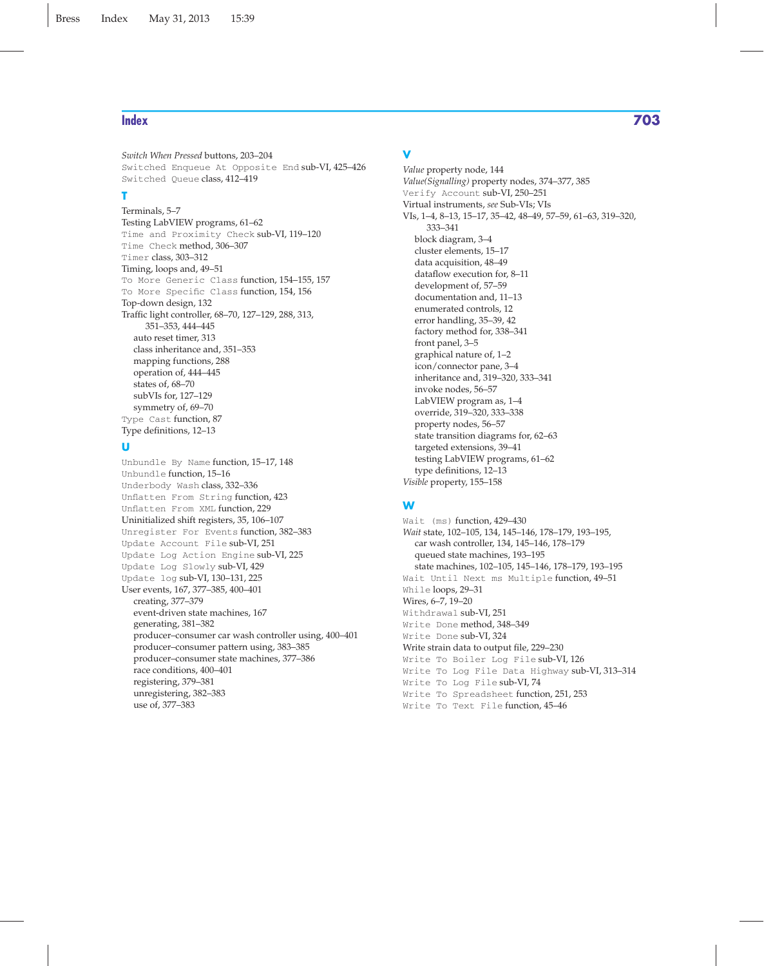*Switch When Pressed* buttons, 203–204 Switched Enqueue At Opposite End sub-VI, 425–426 Switched Queue class, 412–419

#### **T**

Terminals, 5–7 Testing LabVIEW programs, 61–62 Time and Proximity Check sub-VI, 119–120 Time Check method, 306–307 Timer class, 303–312 Timing, loops and, 49–51 To More Generic Class function, 154–155, 157 To More Specific Class function, 154, 156 Top-down design, 132 Traffic light controller, 68–70, 127–129, 288, 313, 351–353, 444–445 auto reset timer, 313 class inheritance and, 351–353 mapping functions, 288 operation of, 444–445 states of, 68–70 subVIs for, 127–129 symmetry of, 69–70 Type Cast function, 87 Type definitions, 12–13

#### **U**

Unbundle By Name function, 15–17, 148 Unbundle function, 15–16 Underbody Wash class, 332–336 Unflatten From String function, 423 Unflatten From XML function, 229 Uninitialized shift registers, 35, 106–107 Unregister For Events function, 382–383 Update Account File sub-VI, 251 Update Log Action Engine sub-VI, 225 Update Log Slowly sub-VI, 429 Update log sub-VI, 130–131, 225 User events, 167, 377–385, 400–401 creating, 377–379 event-driven state machines, 167 generating, 381–382 producer–consumer car wash controller using, 400–401 producer–consumer pattern using, 383–385 producer–consumer state machines, 377–386 race conditions, 400–401 registering, 379–381 unregistering, 382–383 use of, 377–383

### **V**

*Value* property node, 144 *Value(Signalling)* property nodes, 374–377, 385 Verify Account sub-VI, 250–251 Virtual instruments, *see* Sub-VIs; VIs VIs, 1–4, 8–13, 15–17, 35–42, 48–49, 57–59, 61–63, 319–320, 333–341 block diagram, 3–4 cluster elements, 15–17 data acquisition, 48–49 dataflow execution for, 8–11 development of, 57–59 documentation and, 11–13 enumerated controls, 12 error handling, 35–39, 42 factory method for, 338–341 front panel, 3–5 graphical nature of, 1–2 icon/connector pane, 3–4 inheritance and, 319–320, 333–341 invoke nodes, 56–57 LabVIEW program as, 1–4 override, 319–320, 333–338 property nodes, 56–57 state transition diagrams for, 62–63 targeted extensions, 39–41 testing LabVIEW programs, 61–62 type definitions, 12–13 *Visible* property, 155–158

## **W**

Wait (ms) function, 429–430 *Wait* state, 102–105, 134, 145–146, 178–179, 193–195, car wash controller, 134, 145–146, 178–179 queued state machines, 193–195 state machines, 102–105, 145–146, 178–179, 193–195 Wait Until Next ms Multiple function, 49–51 While loops, 29–31 Wires, 6–7, 19–20 Withdrawal sub-VI, 251 Write Done method, 348–349 Write Done sub-VI, 324 Write strain data to output file, 229–230 Write To Boiler Log File sub-VI, 126 Write To Log File Data Highway sub-VI, 313–314 Write To Log File sub-VI, 74 Write To Spreadsheet function, 251, 253 Write To Text File function, 45–46

# **Index 703**